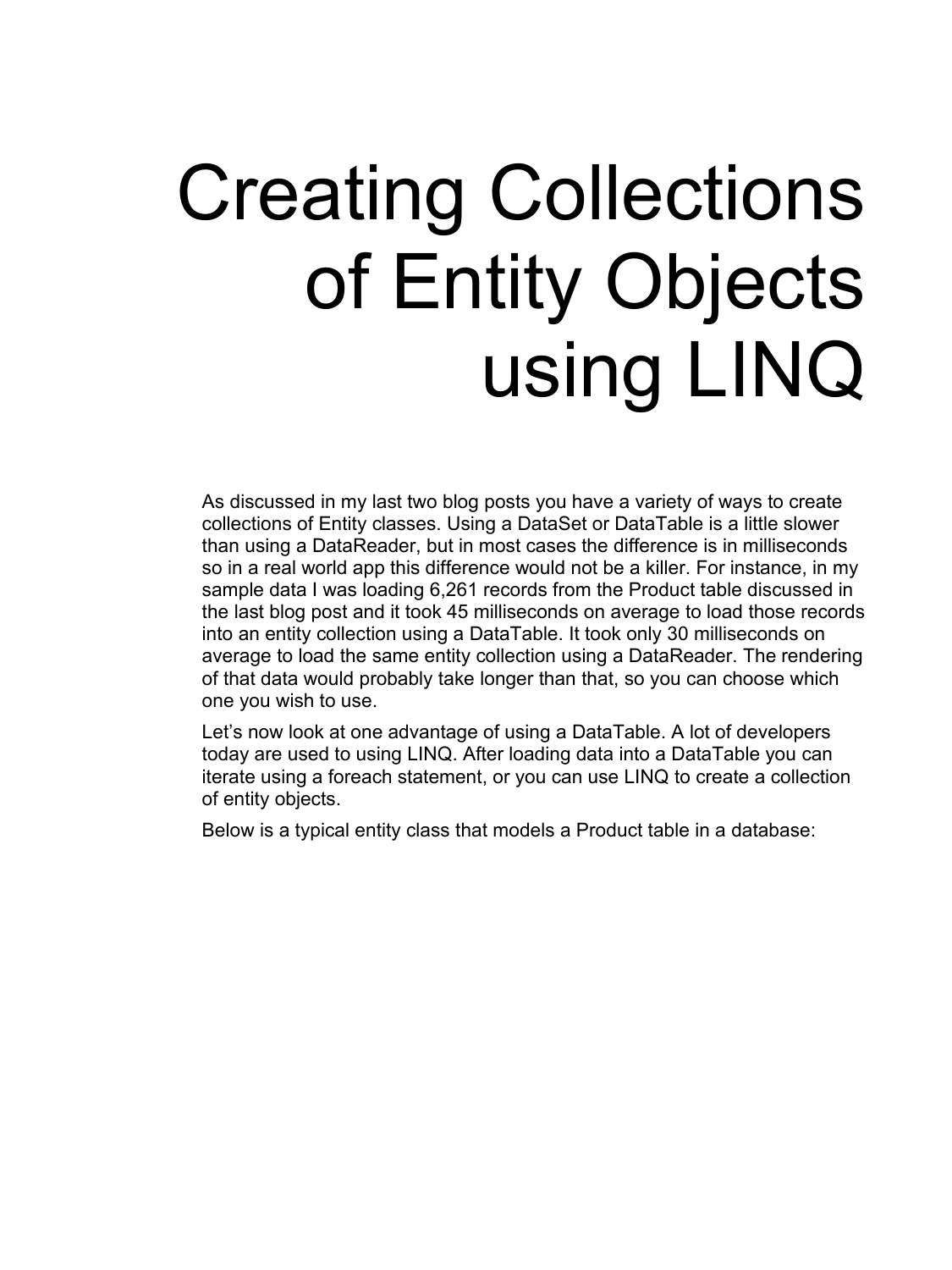## Creating Collections of Entity Objects using LINQ

As discussed in my last two blog posts you have a variety of ways to create collections of Entity classes. Using a DataSet or DataTable is a little slower than using a DataReader, but in most cases the difference is in milliseconds so in a real world app this difference would not be a killer. For instance, in my sample data I was loading 6,261 records from the Product table discussed in the last blog post and it took 45 milliseconds on average to load those records into an entity collection using a DataTable. It took only 30 milliseconds on average to load the same entity collection using a DataReader. The rendering of that data would probably take longer than that, so you can choose which one you wish to use.

Let's now look at one advantage of using a DataTable. A lot of developers today are used to using LINQ. After loading data into a DataTable you can iterate using a foreach statement, or you can use LINQ to create a collection of entity objects.

Below is a typical entity class that models a Product table in a database: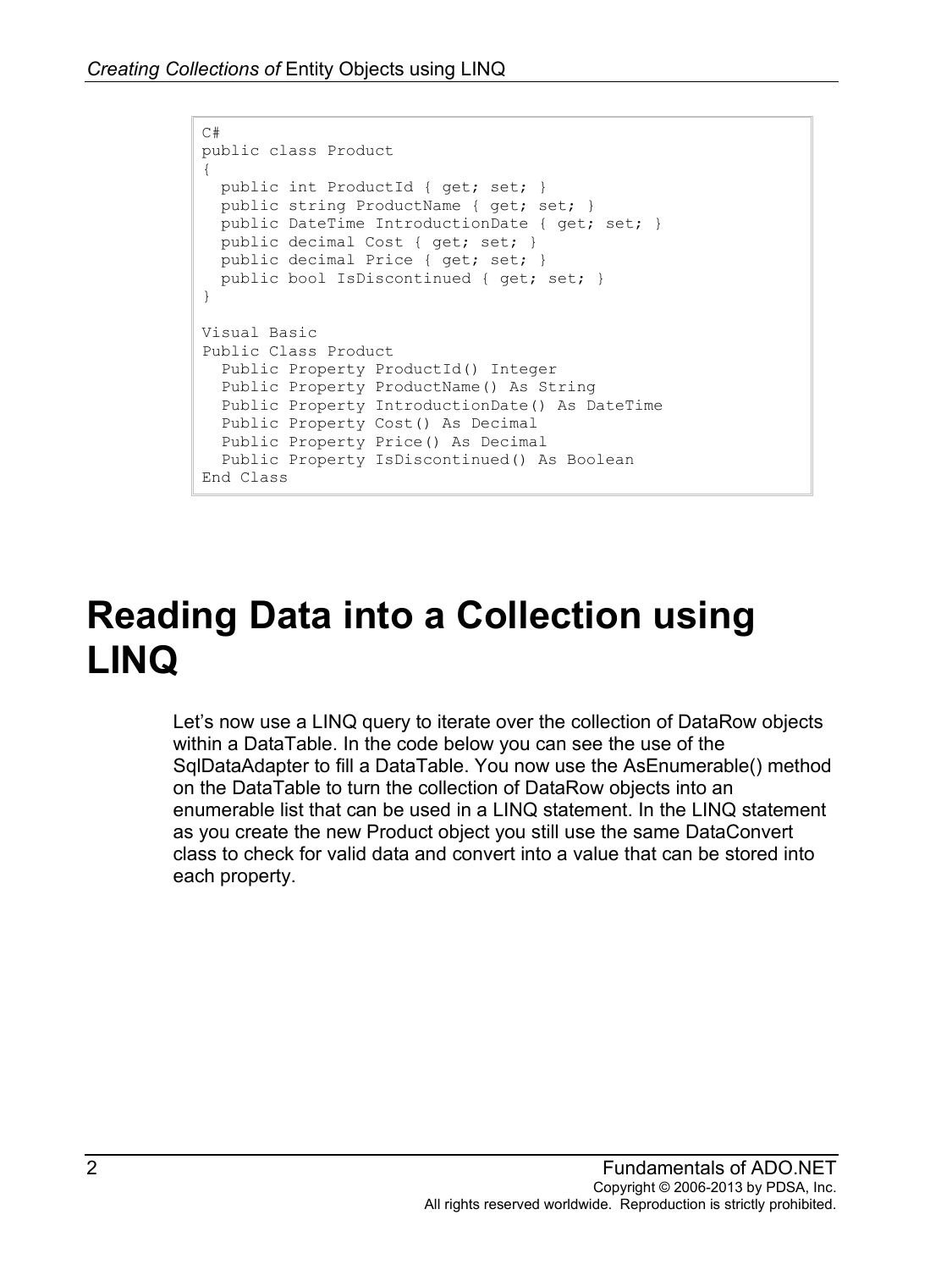```
C#
public class Product
{
  public int ProductId { get; set; }
 public string ProductName { get; set; }
  public DateTime IntroductionDate { get; set; }
  public decimal Cost { get; set; }
  public decimal Price { get; set; }
  public bool IsDiscontinued { get; set; } 
}
Visual Basic
Public Class Product
  Public Property ProductId() Integer
  Public Property ProductName() As String
  Public Property IntroductionDate() As DateTime
  Public Property Cost() As Decimal
  Public Property Price() As Decimal
  Public Property IsDiscontinued() As Boolean
End Class
```
## **Reading Data into a Collection using LINQ**

Let's now use a LINQ query to iterate over the collection of DataRow objects within a DataTable. In the code below you can see the use of the SqlDataAdapter to fill a DataTable. You now use the AsEnumerable() method on the DataTable to turn the collection of DataRow objects into an enumerable list that can be used in a LINQ statement. In the LINQ statement as you create the new Product object you still use the same DataConvert class to check for valid data and convert into a value that can be stored into each property.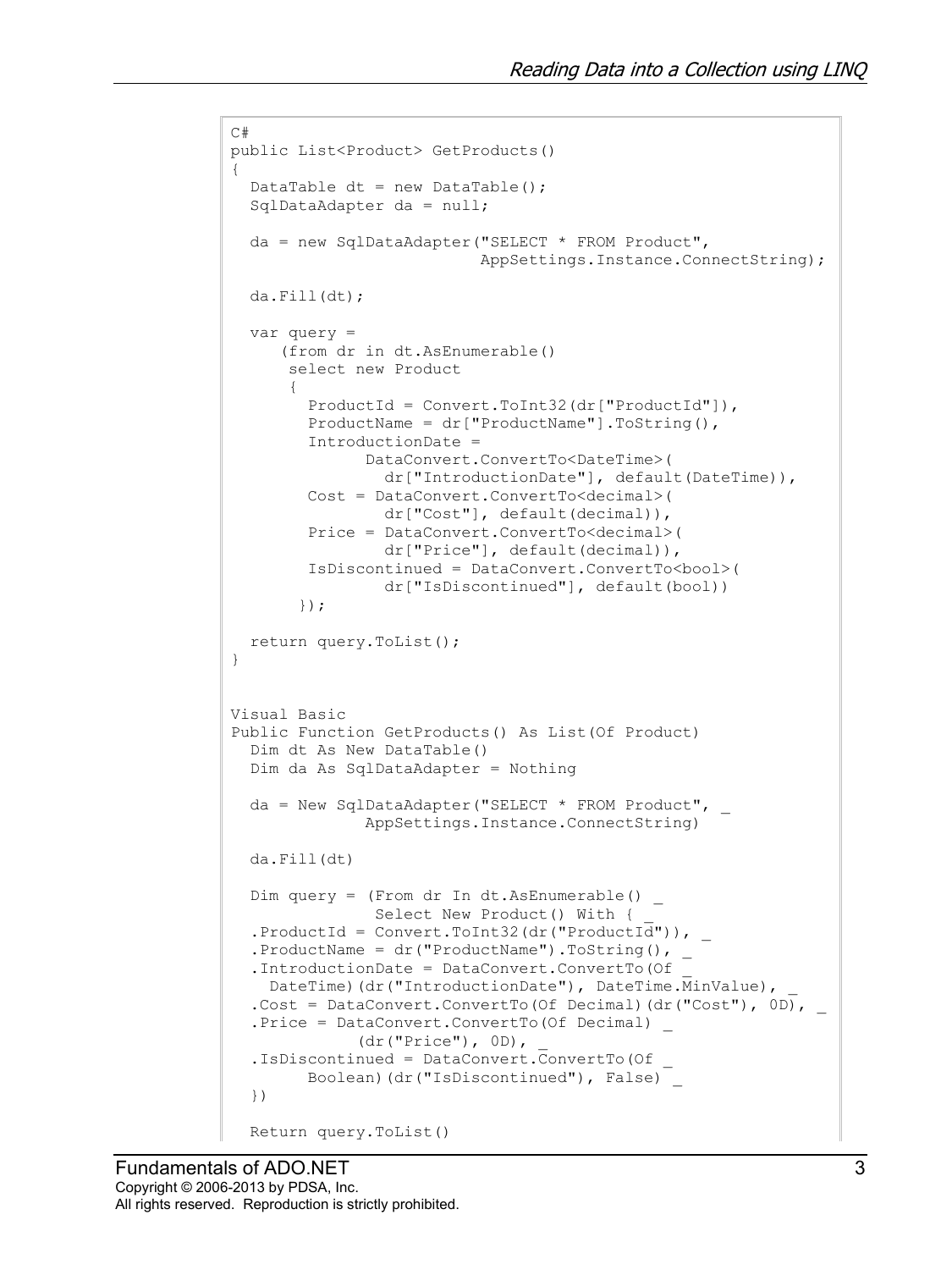```
C#
public List<Product> GetProducts()
{
  DataTable dt = new DataTable();
  SqlDataAdapter da = null;
  da = new SqlDataAdapter("SELECT * FROM Product",
                            AppSettings.Instance.ConnectString);
  da.Fill(dt);
  var query =
      (from dr in dt.AsEnumerable()
       select new Product
 {
         ProductId = Convert.ToInt32(dr["ProductId"]),
         ProductName = dr["ProductName"].ToString(),
         IntroductionDate =
               DataConvert.ConvertTo<DateTime>(
                dr["IntroductionDate"], default(DateTime)),
         Cost = DataConvert.ConvertTo<decimal>(
                dr["Cost"], default(decimal)),
         Price = DataConvert.ConvertTo<decimal>(
                dr["Price"], default(decimal)),
         IsDiscontinued = DataConvert.ConvertTo<bool>(
                 dr["IsDiscontinued"], default(bool))
        });
  return query.ToList();
}
Visual Basic
Public Function GetProducts() As List(Of Product)
  Dim dt As New DataTable()
  Dim da As SqlDataAdapter = Nothing
 da = New SqlDataAdapter("SELECT * FROM Product", \overline{\phantom{a}} AppSettings.Instance.ConnectString)
  da.Fill(dt)
 Dim query = (From dr In dt.AsEnumerable() _
               Select New Product() With {
  .ProductId = Convert.ToInt32(dr("ProductId")),
  .ProductName = dr("ProductName") .ToString(), _
   .IntroductionDate = DataConvert.ConvertTo(Of _
    DateTime)(dr("IntroductionDate"), DateTime.MinValue),
  .Cost = DataConvert.ConvertTo(Of Decimal)(dr("Cost"), 0D),
   .Price = DataConvert.ConvertTo(Of Decimal) _
               (dr("Price"), 0D), _
   .IsDiscontinued = DataConvert.ConvertTo(Of _
        Boolean)(dr("IsDiscontinued"), False)
   })
  Return query.ToList()
```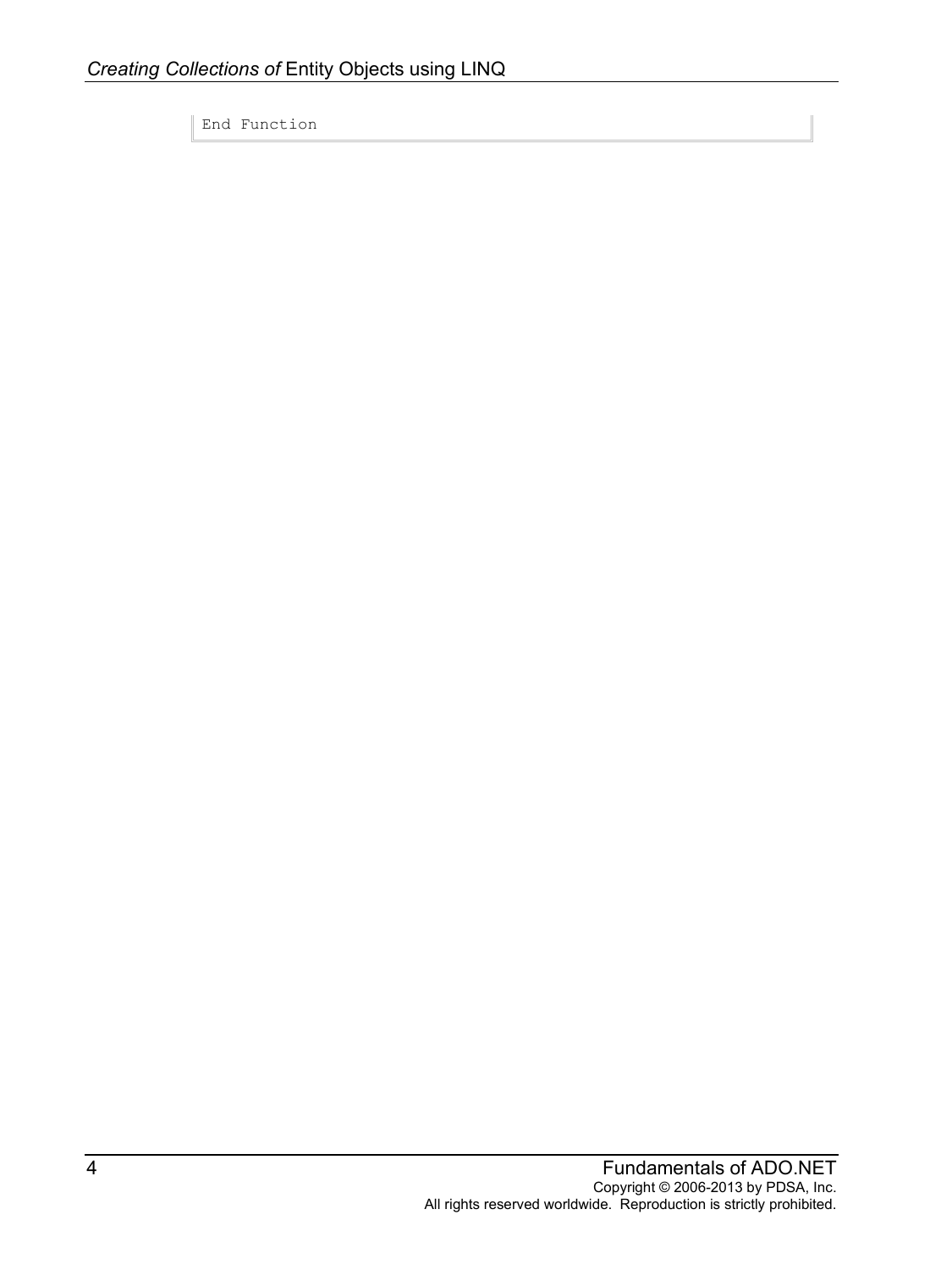End Function

 $\mathbb{I}$